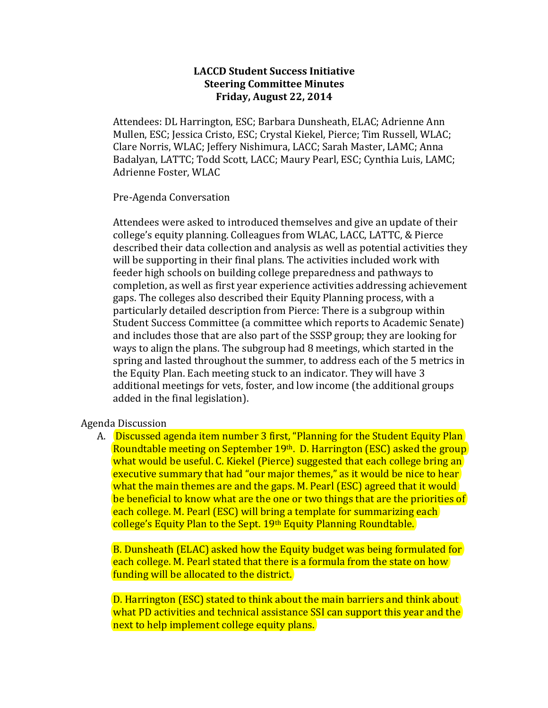## **LACCD Student Success Initiative Steering Committee Minutes Friday, August 22, 2014**

Attendees: DL Harrington, ESC; Barbara Dunsheath, ELAC; Adrienne Ann Mullen, ESC; Jessica Cristo, ESC; Crystal Kiekel, Pierce; Tim Russell, WLAC; Clare Norris, WLAC; Jeffery Nishimura, LACC; Sarah Master, LAMC; Anna Badalyan, LATTC; Todd Scott, LACC; Maury Pearl, ESC; Cynthia Luis, LAMC; Adrienne Foster, WLAC

## Pre-Agenda Conversation

Attendees were asked to introduced themselves and give an update of their college's equity planning. Colleagues from WLAC, LACC, LATTC, & Pierce described their data collection and analysis as well as potential activities they will be supporting in their final plans. The activities included work with feeder high schools on building college preparedness and pathways to completion, as well as first year experience activities addressing achievement gaps. The colleges also described their Equity Planning process, with a particularly detailed description from Pierce: There is a subgroup within Student Success Committee (a committee which reports to Academic Senate) and includes those that are also part of the SSSP group; they are looking for ways to align the plans. The subgroup had 8 meetings, which started in the spring and lasted throughout the summer, to address each of the 5 metrics in the Equity Plan. Each meeting stuck to an indicator. They will have 3 additional meetings for vets, foster, and low income (the additional groups added in the final legislation).

## Agenda Discussion

A. Discussed agenda item number 3 first, "Planning for the Student Equity Plan Roundtable meeting on September 19th. D. Harrington (ESC) asked the group what would be useful. C. Kiekel (Pierce) suggested that each college bring an executive summary that had "our major themes," as it would be nice to hear what the main themes are and the gaps. M. Pearl (ESC) agreed that it would be beneficial to know what are the one or two things that are the priorities of each college. M. Pearl (ESC) will bring a template for summarizing each college's Equity Plan to the Sept. 19th Equity Planning Roundtable.

B. Dunsheath (ELAC) asked how the Equity budget was being formulated for each college. M. Pearl stated that there is a formula from the state on how funding will be allocated to the district.

D. Harrington (ESC) stated to think about the main barriers and think about what PD activities and technical assistance SSI can support this year and the next to help implement college equity plans.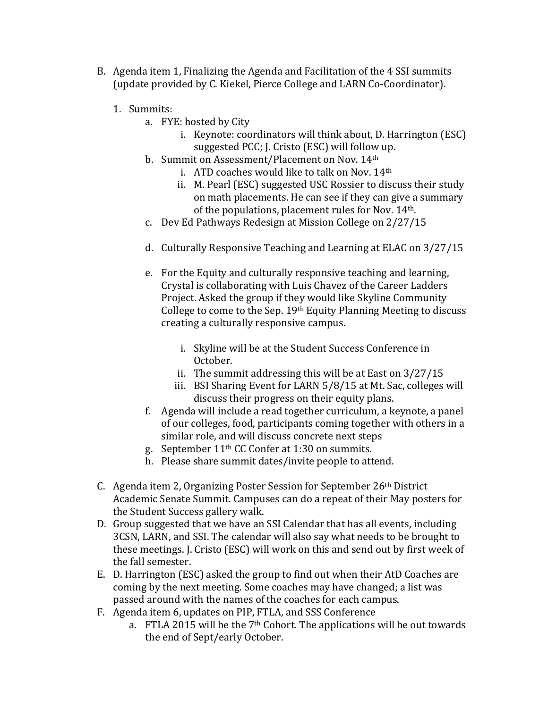- B. Agenda item 1, Finalizing the Agenda and Facilitation of the 4 SSI summits (update provided by C. Kiekel, Pierce College and LARN Co-Coordinator).
	- 1. Summits:
		- a. FYE: hosted by City
			- i. Keynote: coordinators will think about, D. Harrington (ESC) suggested PCC; J. Cristo (ESC) will follow up.
		- b. Summit on Assessment/Placement on Nov. 14th
			- i. ATD coaches would like to talk on Nov. 14<sup>th</sup>
			- ii. M. Pearl (ESC) suggested USC Rossier to discuss their study on math placements. He can see if they can give a summary of the populations, placement rules for Nov.  $14<sup>th</sup>$ .
		- c. Dev Ed Pathways Redesign at Mission College on 2/27/15
		- d. Culturally Responsive Teaching and Learning at ELAC on 3/27/15
		- e. For the Equity and culturally responsive teaching and learning, Crystal is collaborating with Luis Chavez of the Career Ladders Project. Asked the group if they would like Skyline Community College to come to the Sep.  $19<sup>th</sup>$  Equity Planning Meeting to discuss creating a culturally responsive campus.
			- i. Skyline will be at the Student Success Conference in October.
			- ii. The summit addressing this will be at East on  $3/27/15$
			- iii. BSI Sharing Event for LARN 5/8/15 at Mt. Sac, colleges will discuss their progress on their equity plans.
		- f. Agenda will include a read together curriculum, a keynote, a panel of our colleges, food, participants coming together with others in a similar role, and will discuss concrete next steps
		- g. September  $11<sup>th</sup>$  CC Confer at 1:30 on summits.
		- h. Please share summit dates/invite people to attend.
- C. Agenda item 2, Organizing Poster Session for September 26<sup>th</sup> District Academic Senate Summit. Campuses can do a repeat of their May posters for the Student Success gallery walk.
- D. Group suggested that we have an SSI Calendar that has all events, including 3CSN, LARN, and SSI. The calendar will also say what needs to be brought to these meetings. J. Cristo (ESC) will work on this and send out by first week of the fall semester.
- E. D. Harrington (ESC) asked the group to find out when their AtD Coaches are coming by the next meeting. Some coaches may have changed; a list was passed around with the names of the coaches for each campus.
- F. Agenda item 6, updates on PIP, FTLA, and SSS Conference
	- a. FTLA 2015 will be the  $7<sup>th</sup>$  Cohort. The applications will be out towards the end of Sept/early October.